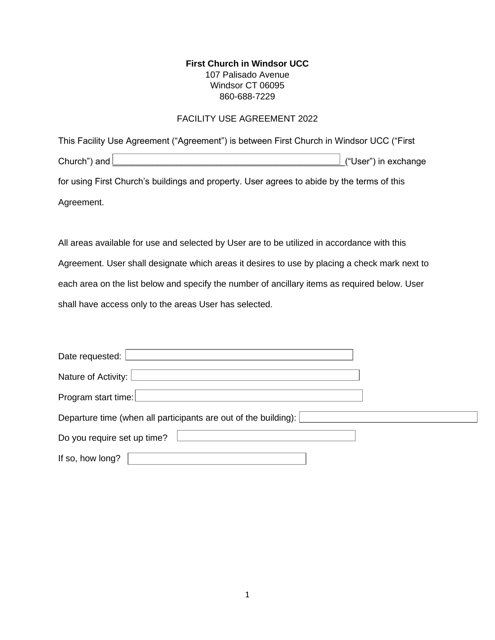#### **First Church in Windsor UCC** 107 Palisado Avenue Windsor CT 06095 860-688-7229

#### FACILITY USE AGREEMENT 2022

| This Facility Use Agreement ("Agreement") is between First Church in Windsor UCC ("First                                                                                                                                             |                              |
|--------------------------------------------------------------------------------------------------------------------------------------------------------------------------------------------------------------------------------------|------------------------------|
| Church") and <u>Decree and the contract of the set of the set of the set of the set of the set of the set of the set of the set of the set of the set of the set of the set of the set of the set of the set of the set of the s</u> | $\perp$ ("User") in exchange |
| for using First Church's buildings and property. User agrees to abide by the terms of this                                                                                                                                           |                              |
| Agreement.                                                                                                                                                                                                                           |                              |

All areas available for use and selected by User are to be utilized in accordance with this Agreement. User shall designate which areas it desires to use by placing a check mark next to each area on the list below and specify the number of ancillary items as required below. User shall have access only to the areas User has selected.

| Date requested:                                                 |  |  |  |  |
|-----------------------------------------------------------------|--|--|--|--|
| Nature of Activity: [                                           |  |  |  |  |
| Program start time:                                             |  |  |  |  |
| Departure time (when all participants are out of the building): |  |  |  |  |
| Do you require set up time?                                     |  |  |  |  |
| If so, how long?                                                |  |  |  |  |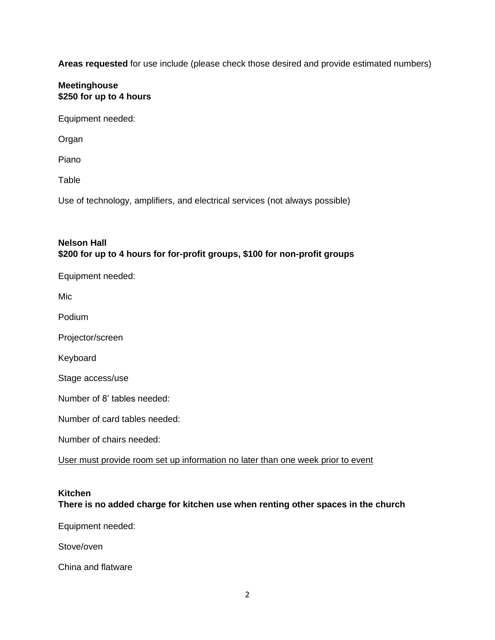**Areas requested** for use include (please check those desired and provide estimated numbers)

## **Kitchen**

# **There is no added charge for kitchen use when renting other spaces in the church**

| Equipment needed: $\Box$ |  |  |
|--------------------------|--|--|
| Stove/oven               |  |  |
| China and flatware       |  |  |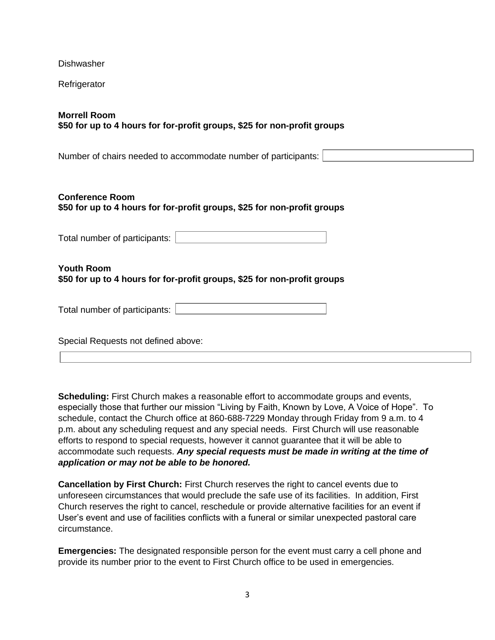| Dishwasher                                                                                         |  |  |  |  |
|----------------------------------------------------------------------------------------------------|--|--|--|--|
| Refrigerator                                                                                       |  |  |  |  |
| <b>Morrell Room</b><br>\$50 for up to 4 hours for for-profit groups, \$25 for non-profit groups    |  |  |  |  |
| Number of chairs needed to accommodate number of participants:                                     |  |  |  |  |
| <b>Conference Room</b><br>\$50 for up to 4 hours for for-profit groups, \$25 for non-profit groups |  |  |  |  |
| Total number of participants:                                                                      |  |  |  |  |
| <b>Youth Room</b><br>\$50 for up to 4 hours for for-profit groups, \$25 for non-profit groups      |  |  |  |  |
| Total number of participants:                                                                      |  |  |  |  |
| Special Requests not defined above:                                                                |  |  |  |  |

**Scheduling:** First Church makes a reasonable effort to accommodate groups and events, especially those that further our mission "Living by Faith, Known by Love, A Voice of Hope". To schedule, contact the Church office at 860-688-7229 Monday through Friday from 9 a.m. to 4 p.m. about any scheduling request and any special needs. First Church will use reasonable efforts to respond to special requests, however it cannot guarantee that it will be able to accommodate such requests. *Any special requests must be made in writing at the time of application or may not be able to be honored.* 

**Cancellation by First Church:** First Church reserves the right to cancel events due to unforeseen circumstances that would preclude the safe use of its facilities. In addition, First Church reserves the right to cancel, reschedule or provide alternative facilities for an event if User's event and use of facilities conflicts with a funeral or similar unexpected pastoral care circumstance.

**Emergencies:** The designated responsible person for the event must carry a cell phone and provide its number prior to the event to First Church office to be used in emergencies.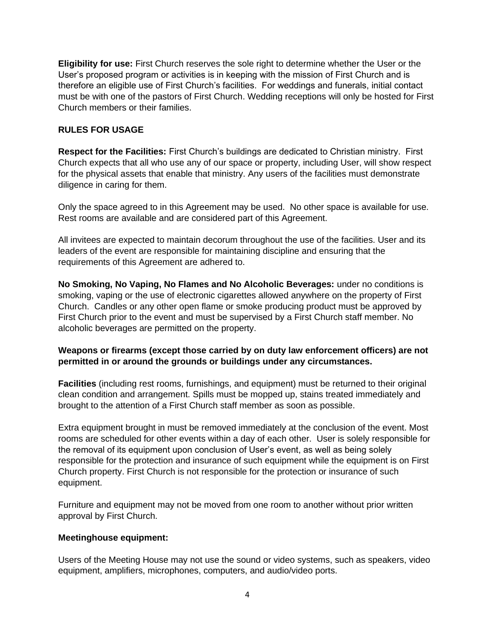**Eligibility for use:** First Church reserves the sole right to determine whether the User or the User's proposed program or activities is in keeping with the mission of First Church and is therefore an eligible use of First Church's facilities. For weddings and funerals, initial contact must be with one of the pastors of First Church. Wedding receptions will only be hosted for First Church members or their families.

## **RULES FOR USAGE**

**Respect for the Facilities:** First Church's buildings are dedicated to Christian ministry. First Church expects that all who use any of our space or property, including User, will show respect for the physical assets that enable that ministry. Any users of the facilities must demonstrate diligence in caring for them.

Only the space agreed to in this Agreement may be used. No other space is available for use. Rest rooms are available and are considered part of this Agreement.

All invitees are expected to maintain decorum throughout the use of the facilities. User and its leaders of the event are responsible for maintaining discipline and ensuring that the requirements of this Agreement are adhered to.

**No Smoking, No Vaping, No Flames and No Alcoholic Beverages:** under no conditions is smoking, vaping or the use of electronic cigarettes allowed anywhere on the property of First Church. Candles or any other open flame or smoke producing product must be approved by First Church prior to the event and must be supervised by a First Church staff member. No alcoholic beverages are permitted on the property.

## **Weapons or firearms (except those carried by on duty law enforcement officers) are not permitted in or around the grounds or buildings under any circumstances.**

**Facilities** (including rest rooms, furnishings, and equipment) must be returned to their original clean condition and arrangement. Spills must be mopped up, stains treated immediately and brought to the attention of a First Church staff member as soon as possible.

Extra equipment brought in must be removed immediately at the conclusion of the event. Most rooms are scheduled for other events within a day of each other. User is solely responsible for the removal of its equipment upon conclusion of User's event, as well as being solely responsible for the protection and insurance of such equipment while the equipment is on First Church property. First Church is not responsible for the protection or insurance of such equipment.

Furniture and equipment may not be moved from one room to another without prior written approval by First Church.

#### **Meetinghouse equipment:**

Users of the Meeting House may not use the sound or video systems, such as speakers, video equipment, amplifiers, microphones, computers, and audio/video ports.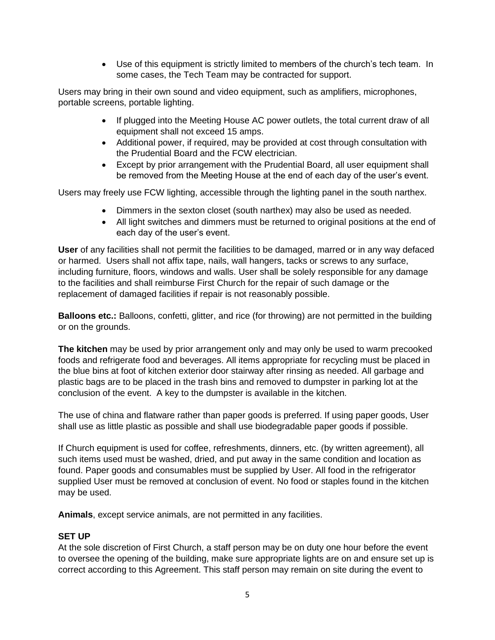• Use of this equipment is strictly limited to members of the church's tech team. In some cases, the Tech Team may be contracted for support.

Users may bring in their own sound and video equipment, such as amplifiers, microphones, portable screens, portable lighting.

- If plugged into the Meeting House AC power outlets, the total current draw of all equipment shall not exceed 15 amps.
- Additional power, if required, may be provided at cost through consultation with the Prudential Board and the FCW electrician.
- Except by prior arrangement with the Prudential Board, all user equipment shall be removed from the Meeting House at the end of each day of the user's event.

Users may freely use FCW lighting, accessible through the lighting panel in the south narthex.

- Dimmers in the sexton closet (south narthex) may also be used as needed.
- All light switches and dimmers must be returned to original positions at the end of each day of the user's event.

**User** of any facilities shall not permit the facilities to be damaged, marred or in any way defaced or harmed. Users shall not affix tape, nails, wall hangers, tacks or screws to any surface, including furniture, floors, windows and walls. User shall be solely responsible for any damage to the facilities and shall reimburse First Church for the repair of such damage or the replacement of damaged facilities if repair is not reasonably possible.

**Balloons etc.:** Balloons, confetti, glitter, and rice (for throwing) are not permitted in the building or on the grounds.

**The kitchen** may be used by prior arrangement only and may only be used to warm precooked foods and refrigerate food and beverages. All items appropriate for recycling must be placed in the blue bins at foot of kitchen exterior door stairway after rinsing as needed. All garbage and plastic bags are to be placed in the trash bins and removed to dumpster in parking lot at the conclusion of the event. A key to the dumpster is available in the kitchen.

The use of china and flatware rather than paper goods is preferred. If using paper goods, User shall use as little plastic as possible and shall use biodegradable paper goods if possible.

If Church equipment is used for coffee, refreshments, dinners, etc. (by written agreement), all such items used must be washed, dried, and put away in the same condition and location as found. Paper goods and consumables must be supplied by User. All food in the refrigerator supplied User must be removed at conclusion of event. No food or staples found in the kitchen may be used.

**Animals**, except service animals, are not permitted in any facilities.

## **SET UP**

At the sole discretion of First Church, a staff person may be on duty one hour before the event to oversee the opening of the building, make sure appropriate lights are on and ensure set up is correct according to this Agreement. This staff person may remain on site during the event to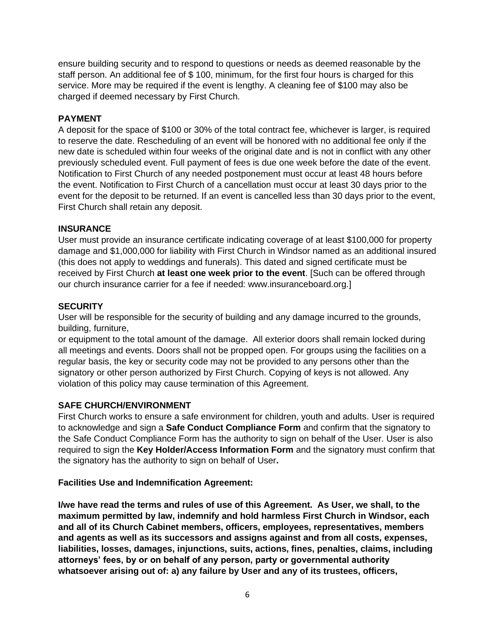ensure building security and to respond to questions or needs as deemed reasonable by the staff person. An additional fee of \$ 100, minimum, for the first four hours is charged for this service. More may be required if the event is lengthy. A cleaning fee of \$100 may also be charged if deemed necessary by First Church.

#### **PAYMENT**

A deposit for the space of \$100 or 30% of the total contract fee, whichever is larger, is required to reserve the date. Rescheduling of an event will be honored with no additional fee only if the new date is scheduled within four weeks of the original date and is not in conflict with any other previously scheduled event. Full payment of fees is due one week before the date of the event. Notification to First Church of any needed postponement must occur at least 48 hours before the event. Notification to First Church of a cancellation must occur at least 30 days prior to the event for the deposit to be returned. If an event is cancelled less than 30 days prior to the event, First Church shall retain any deposit.

## **INSURANCE**

User must provide an insurance certificate indicating coverage of at least \$100,000 for property damage and \$1,000,000 for liability with First Church in Windsor named as an additional insured (this does not apply to weddings and funerals). This dated and signed certificate must be received by First Church **at least one week prior to the event**. [Such can be offered through our church insurance carrier for a fee if needed: www.insuranceboard.org.]

## **SECURITY**

User will be responsible for the security of building and any damage incurred to the grounds, building, furniture,

or equipment to the total amount of the damage. All exterior doors shall remain locked during all meetings and events. Doors shall not be propped open. For groups using the facilities on a regular basis, the key or security code may not be provided to any persons other than the signatory or other person authorized by First Church. Copying of keys is not allowed. Any violation of this policy may cause termination of this Agreement.

## **SAFE CHURCH/ENVIRONMENT**

First Church works to ensure a safe environment for children, youth and adults. User is required to acknowledge and sign a **Safe Conduct Compliance Form** and confirm that the signatory to the Safe Conduct Compliance Form has the authority to sign on behalf of the User. User is also required to sign the **Key Holder/Access Information Form** and the signatory must confirm that the signatory has the authority to sign on behalf of User**.** 

#### **Facilities Use and Indemnification Agreement:**

**I/we have read the terms and rules of use of this Agreement. As User, we shall, to the maximum permitted by law, indemnify and hold harmless First Church in Windsor, each and all of its Church Cabinet members, officers, employees, representatives, members and agents as well as its successors and assigns against and from all costs, expenses, liabilities, losses, damages, injunctions, suits, actions, fines, penalties, claims, including attorneys' fees, by or on behalf of any person, party or governmental authority whatsoever arising out of: a) any failure by User and any of its trustees, officers,**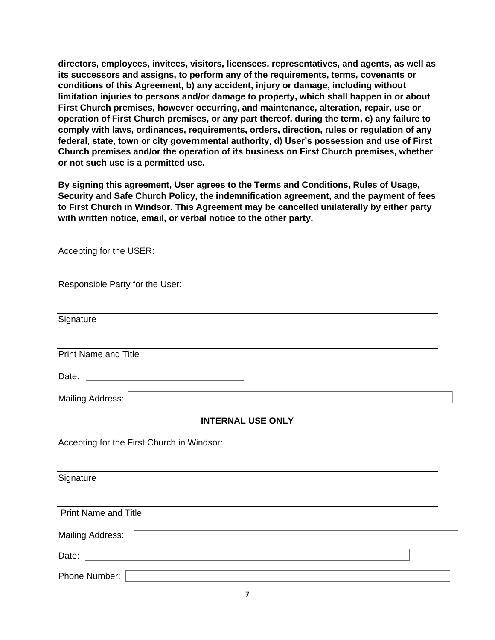**directors, employees, invitees, visitors, licensees, representatives, and agents, as well as its successors and assigns, to perform any of the requirements, terms, covenants or conditions of this Agreement, b) any accident, injury or damage, including without limitation injuries to persons and/or damage to property, which shall happen in or about First Church premises, however occurring, and maintenance, alteration, repair, use or operation of First Church premises, or any part thereof, during the term, c) any failure to comply with laws, ordinances, requirements, orders, direction, rules or regulation of any federal, state, town or city governmental authority, d) User's possession and use of First Church premises and/or the operation of its business on First Church premises, whether or not such use is a permitted use.** 

**By signing this agreement, User agrees to the Terms and Conditions, Rules of Usage, Security and Safe Church Policy, the indemnification agreement, and the payment of fees to First Church in Windsor. This Agreement may be cancelled unilaterally by either party with written notice, email, or verbal notice to the other party.**

Accepting for the USER:

| Responsible Party for the User:            |  |  |  |  |
|--------------------------------------------|--|--|--|--|
| Signature                                  |  |  |  |  |
| <b>Print Name and Title</b>                |  |  |  |  |
| Date:                                      |  |  |  |  |
| Mailing Address:                           |  |  |  |  |
| <b>INTERNAL USE ONLY</b>                   |  |  |  |  |
| Accepting for the First Church in Windsor: |  |  |  |  |
| Signature                                  |  |  |  |  |
| <b>Print Name and Title</b>                |  |  |  |  |
| <b>Mailing Address:</b>                    |  |  |  |  |
| Date:                                      |  |  |  |  |
| Phone Number:                              |  |  |  |  |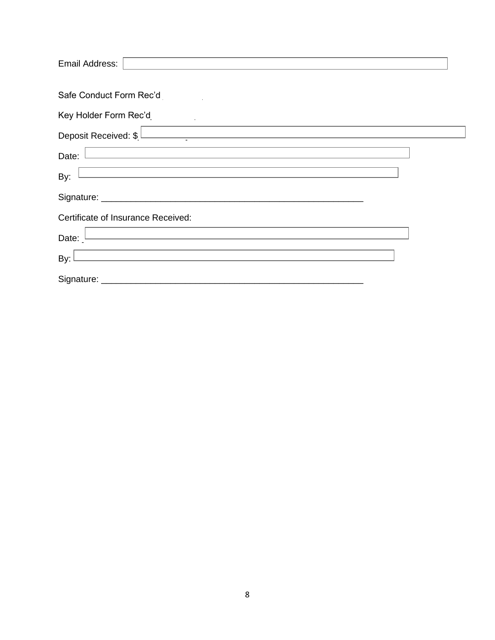| Email Address:                     |
|------------------------------------|
| Safe Conduct Form Rec'd L          |
| Key Holder Form Rec'd              |
| Deposit Received: \$               |
| Date:                              |
| By:                                |
| Signature: _______                 |
| Certificate of Insurance Received: |
| Date:                              |
| By:                                |
| Signature: _                       |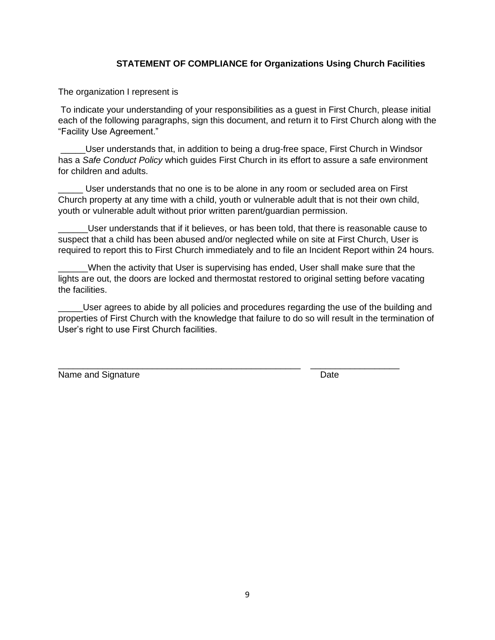## **STATEMENT OF COMPLIANCE for Organizations Using Church Facilities**

The organization I represent is

To indicate your understanding of your responsibilities as a guest in First Church, please initial each of the following paragraphs, sign this document, and return it to First Church along with the "Facility Use Agreement."

\_\_\_\_\_User understands that, in addition to being a drug-free space, First Church in Windsor has a *Safe Conduct Policy* which guides First Church in its effort to assure a safe environment for children and adults.

User understands that no one is to be alone in any room or secluded area on First Church property at any time with a child, youth or vulnerable adult that is not their own child, youth or vulnerable adult without prior written parent/guardian permission.

\_\_\_\_\_\_User understands that if it believes, or has been told, that there is reasonable cause to suspect that a child has been abused and/or neglected while on site at First Church, User is required to report this to First Church immediately and to file an Incident Report within 24 hours.

When the activity that User is supervising has ended, User shall make sure that the lights are out, the doors are locked and thermostat restored to original setting before vacating the facilities.

User agrees to abide by all policies and procedures regarding the use of the building and properties of First Church with the knowledge that failure to do so will result in the termination of User's right to use First Church facilities.

Name and Signature Date Date

\_\_\_\_\_\_\_\_\_\_\_\_\_\_\_\_\_\_\_\_\_\_\_\_\_\_\_\_\_\_\_\_\_\_\_\_\_\_\_\_\_\_\_\_\_\_\_\_\_ \_\_\_\_\_\_\_\_\_\_\_\_\_\_\_\_\_\_